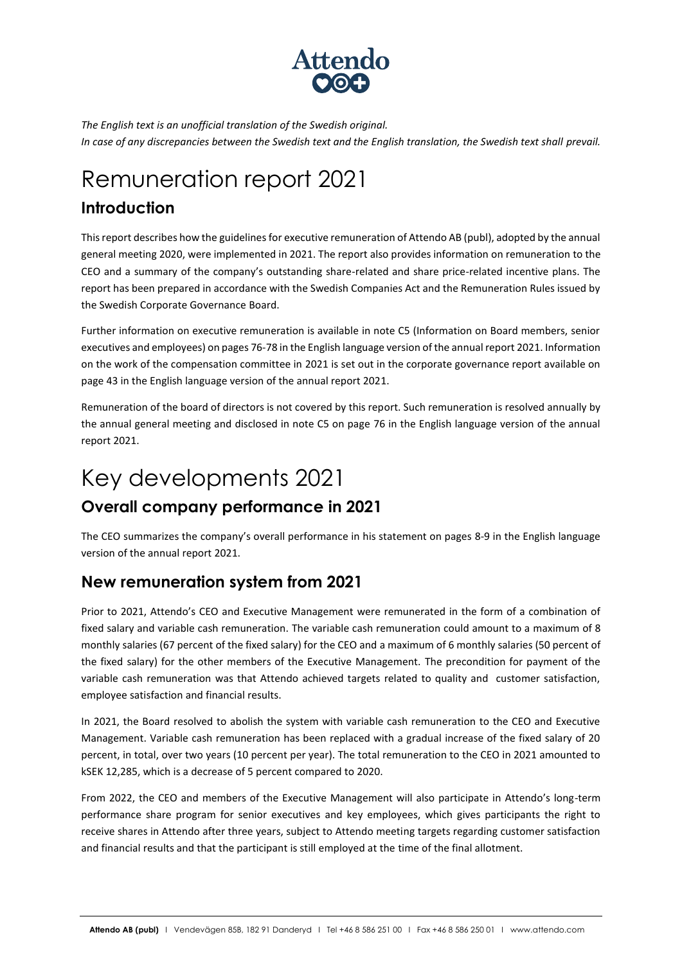

*The English text is an unofficial translation of the Swedish original. In case of any discrepancies between the Swedish text and the English translation, the Swedish text shall prevail.*

# Remuneration report 2021

### **Introduction**

This report describes how the guidelines for executive remuneration of Attendo AB (publ), adopted by the annual general meeting 2020, were implemented in 2021. The report also provides information on remuneration to the CEO and a summary of the company's outstanding share-related and share price-related incentive plans. The report has been prepared in accordance with the Swedish Companies Act and the Remuneration Rules issued by the Swedish Corporate Governance Board.

Further information on executive remuneration is available in note C5 (Information on Board members, senior executives and employees) on pages 76-78 in the English language version of the annual report 2021. Information on the work of the compensation committee in 2021 is set out in the corporate governance report available on page 43 in the English language version of the annual report 2021.

Remuneration of the board of directors is not covered by this report. Such remuneration is resolved annually by the annual general meeting and disclosed in note C5 on page 76 in the English language version of the annual report 2021.

# Key developments 2021

### **Overall company performance in 2021**

The CEO summarizes the company's overall performance in his statement on pages 8-9 in the English language version of the annual report 2021.

### **New remuneration system from 2021**

Prior to 2021, Attendo's CEO and Executive Management were remunerated in the form of a combination of fixed salary and variable cash remuneration. The variable cash remuneration could amount to a maximum of 8 monthly salaries (67 percent of the fixed salary) for the CEO and a maximum of 6 monthly salaries (50 percent of the fixed salary) for the other members of the Executive Management. The precondition for payment of the variable cash remuneration was that Attendo achieved targets related to quality and customer satisfaction, employee satisfaction and financial results.

In 2021, the Board resolved to abolish the system with variable cash remuneration to the CEO and Executive Management. Variable cash remuneration has been replaced with a gradual increase of the fixed salary of 20 percent, in total, over two years (10 percent per year). The total remuneration to the CEO in 2021 amounted to kSEK 12,285, which is a decrease of 5 percent compared to 2020.

From 2022, the CEO and members of the Executive Management will also participate in Attendo's long-term performance share program for senior executives and key employees, which gives participants the right to receive shares in Attendo after three years, subject to Attendo meeting targets regarding customer satisfaction and financial results and that the participant is still employed at the time of the final allotment.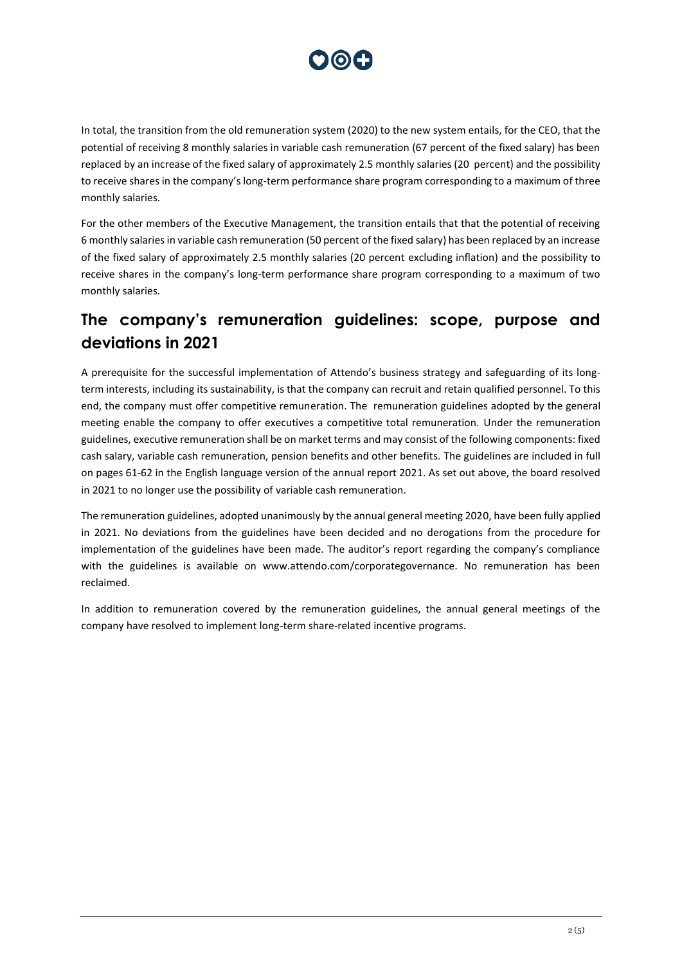

In total, the transition from the old remuneration system (2020) to the new system entails, for the CEO, that the potential of receiving 8 monthly salaries in variable cash remuneration (67 percent of the fixed salary) has been replaced by an increase of the fixed salary of approximately 2.5 monthly salaries (20 percent) and the possibility to receive shares in the company's long-term performance share program corresponding to a maximum of three monthly salaries.

For the other members of the Executive Management, the transition entails that that the potential of receiving 6 monthly salaries in variable cash remuneration (50 percent of the fixed salary) has been replaced by an increase of the fixed salary of approximately 2.5 monthly salaries (20 percent excluding inflation) and the possibility to receive shares in the company's long-term performance share program corresponding to a maximum of two monthly salaries.

### **The company's remuneration guidelines: scope, purpose and deviations in 2021**

A prerequisite for the successful implementation of Attendo's business strategy and safeguarding of its longterm interests, including its sustainability, is that the company can recruit and retain qualified personnel. To this end, the company must offer competitive remuneration. The remuneration guidelines adopted by the general meeting enable the company to offer executives a competitive total remuneration. Under the remuneration guidelines, executive remuneration shall be on market terms and may consist of the following components: fixed cash salary, variable cash remuneration, pension benefits and other benefits. The guidelines are included in full on pages 61-62 in the English language version of the annual report 2021. As set out above, the board resolved in 2021 to no longer use the possibility of variable cash remuneration.

The remuneration guidelines, adopted unanimously by the annual general meeting 2020, have been fully applied in 2021. No deviations from the guidelines have been decided and no derogations from the procedure for implementation of the guidelines have been made. The auditor's report regarding the company's compliance with the guidelines is available on www.attendo.com/corporategovernance. No remuneration has been reclaimed.

In addition to remuneration covered by the remuneration guidelines, the annual general meetings of the company have resolved to implement long-term share-related incentive programs.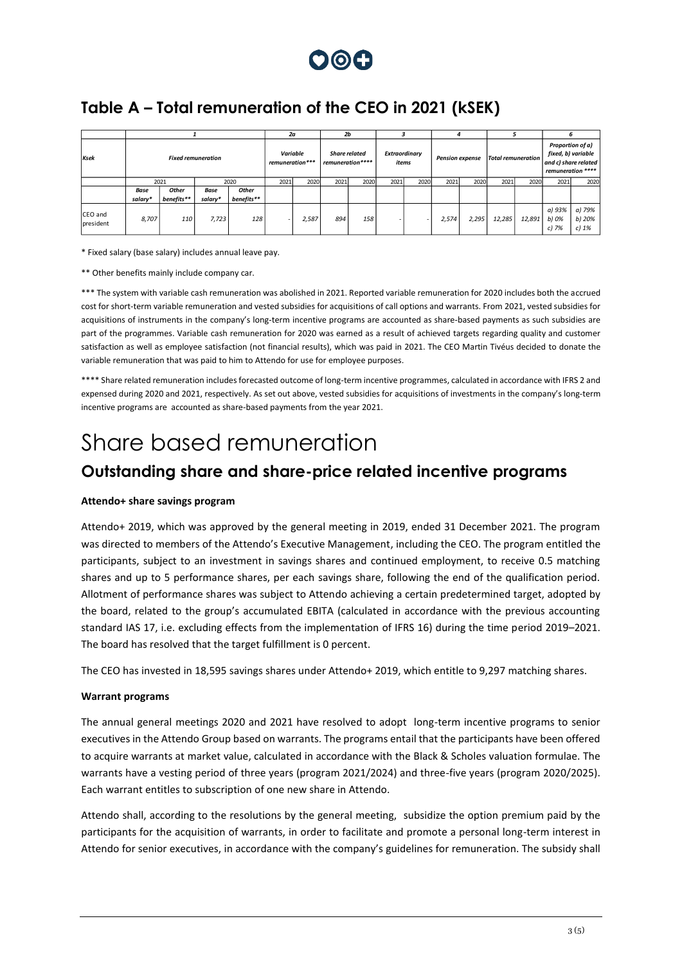

### **Table A – Total remuneration of the CEO in 2021 (kSEK)**

|                      |                           |                     |                        |                     | 2a                          |       | 2 <sub>b</sub>                           |      |                        |      |                        |       |                           |        |                                                                                     |                             |
|----------------------|---------------------------|---------------------|------------------------|---------------------|-----------------------------|-------|------------------------------------------|------|------------------------|------|------------------------|-------|---------------------------|--------|-------------------------------------------------------------------------------------|-----------------------------|
| Ksek                 | <b>Fixed remuneration</b> |                     |                        |                     | Variable<br>remuneration*** |       | <b>Share related</b><br>remuneration**** |      | Extraordinary<br>items |      | <b>Pension expense</b> |       | <b>Total remuneration</b> |        | Proportion of a)<br>fixed, b) variable<br>and c) share related<br>remuneration **** |                             |
|                      | 2021                      |                     | 2020                   |                     | 2021                        | 2020  | 2021                                     | 2020 | 2021                   | 2020 | 2021                   | 2020  | 2021                      | 2020   | 2021                                                                                | 2020                        |
|                      | Base<br>salary*           | Other<br>benefits** | <b>Base</b><br>salary* | Other<br>benefits** |                             |       |                                          |      |                        |      |                        |       |                           |        |                                                                                     |                             |
| CEO and<br>president | 8,707                     | 110                 | 7,723                  | 128                 |                             | 2,587 | 894                                      | 158  |                        |      | 2,574                  | 2,295 | 12,285                    | 12,891 | a) 93%<br>b) 0%<br>$c)$ 7%                                                          | a) 79%<br>b) 20%<br>c) $1%$ |

\* Fixed salary (base salary) includes annual leave pay.

\*\* Other benefits mainly include company car.

\*\*\* The system with variable cash remuneration was abolished in 2021. Reported variable remuneration for 2020 includes both the accrued cost for short-term variable remuneration and vested subsidies for acquisitions of call options and warrants. From 2021, vested subsidies for acquisitions of instruments in the company's long-term incentive programs are accounted as share-based payments as such subsidies are part of the programmes. Variable cash remuneration for 2020 was earned as a result of achieved targets regarding quality and customer satisfaction as well as employee satisfaction (not financial results), which was paid in 2021. The CEO Martin Tivéus decided to donate the variable remuneration that was paid to him to Attendo for use for employee purposes.

\*\*\*\* Share related remuneration includes forecasted outcome of long-term incentive programmes, calculated in accordance with IFRS 2 and expensed during 2020 and 2021, respectively. As set out above, vested subsidies for acquisitions of investments in the company's long-term incentive programs are accounted as share-based payments from the year 2021.

## Share based remuneration

### **Outstanding share and share-price related incentive programs**

#### **Attendo+ share savings program**

Attendo+ 2019, which was approved by the general meeting in 2019, ended 31 December 2021. The program was directed to members of the Attendo's Executive Management, including the CEO. The program entitled the participants, subject to an investment in savings shares and continued employment, to receive 0.5 matching shares and up to 5 performance shares, per each savings share, following the end of the qualification period. Allotment of performance shares was subject to Attendo achieving a certain predetermined target, adopted by the board, related to the group's accumulated EBITA (calculated in accordance with the previous accounting standard IAS 17, i.e. excluding effects from the implementation of IFRS 16) during the time period 2019–2021. The board has resolved that the target fulfillment is 0 percent.

The CEO has invested in 18,595 savings shares under Attendo+ 2019, which entitle to 9,297 matching shares.

#### **Warrant programs**

The annual general meetings 2020 and 2021 have resolved to adopt long-term incentive programs to senior executives in the Attendo Group based on warrants. The programs entail that the participants have been offered to acquire warrants at market value, calculated in accordance with the Black & Scholes valuation formulae. The warrants have a vesting period of three years (program 2021/2024) and three-five years (program 2020/2025). Each warrant entitles to subscription of one new share in Attendo.

Attendo shall, according to the resolutions by the general meeting, subsidize the option premium paid by the participants for the acquisition of warrants, in order to facilitate and promote a personal long-term interest in Attendo for senior executives, in accordance with the company's guidelines for remuneration. The subsidy shall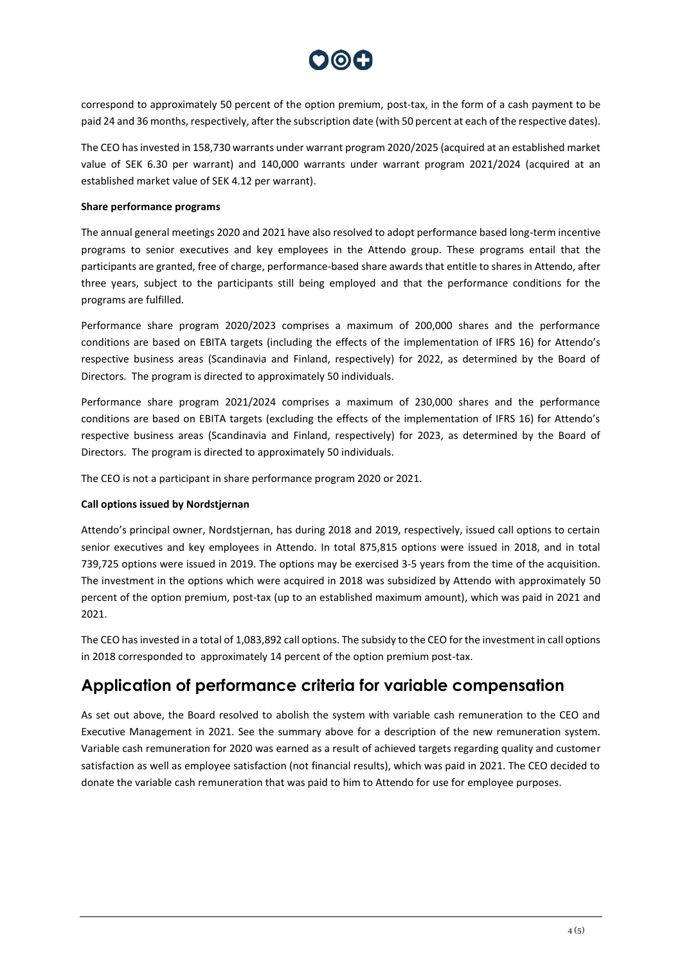

correspond to approximately 50 percent of the option premium, post-tax, in the form of a cash payment to be paid 24 and 36 months, respectively, after the subscription date (with 50 percent at each of the respective dates).

The CEO has invested in 158,730 warrants under warrant program 2020/2025 (acquired at an established market value of SEK 6.30 per warrant) and 140,000 warrants under warrant program 2021/2024 (acquired at an established market value of SEK 4.12 per warrant).

#### **Share performance programs**

The annual general meetings 2020 and 2021 have also resolved to adopt performance based long-term incentive programs to senior executives and key employees in the Attendo group. These programs entail that the participants are granted, free of charge, performance-based share awards that entitle to shares in Attendo, after three years, subject to the participants still being employed and that the performance conditions for the programs are fulfilled.

Performance share program 2020/2023 comprises a maximum of 200,000 shares and the performance conditions are based on EBITA targets (including the effects of the implementation of IFRS 16) for Attendo's respective business areas (Scandinavia and Finland, respectively) for 2022, as determined by the Board of Directors. The program is directed to approximately 50 individuals.

Performance share program 2021/2024 comprises a maximum of 230,000 shares and the performance conditions are based on EBITA targets (excluding the effects of the implementation of IFRS 16) for Attendo's respective business areas (Scandinavia and Finland, respectively) for 2023, as determined by the Board of Directors. The program is directed to approximately 50 individuals.

The CEO is not a participant in share performance program 2020 or 2021.

#### **Call options issued by Nordstjernan**

Attendo's principal owner, Nordstjernan, has during 2018 and 2019, respectively, issued call options to certain senior executives and key employees in Attendo. In total 875,815 options were issued in 2018, and in total 739,725 options were issued in 2019. The options may be exercised 3-5 years from the time of the acquisition. The investment in the options which were acquired in 2018 was subsidized by Attendo with approximately 50 percent of the option premium, post-tax (up to an established maximum amount), which was paid in 2021 and 2021.

The CEO has invested in a total of 1,083,892 call options. The subsidy to the CEO for the investment in call options in 2018 corresponded to approximately 14 percent of the option premium post-tax.

### **Application of performance criteria for variable compensation**

As set out above, the Board resolved to abolish the system with variable cash remuneration to the CEO and Executive Management in 2021. See the summary above for a description of the new remuneration system. Variable cash remuneration for 2020 was earned as a result of achieved targets regarding quality and customer satisfaction as well as employee satisfaction (not financial results), which was paid in 2021. The CEO decided to donate the variable cash remuneration that was paid to him to Attendo for use for employee purposes.